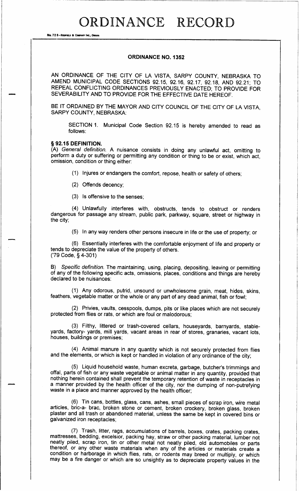# ORDINANCE RECORD

No. 72 8-Reprield & Company Inc., Omaha

#### ORDINANCE NO. 1352

AN ORDINANCE OF THE CITY OF LA VISTA, SARPY COUNTY, NEBRASKA TO AMEND MUNICIPAL CODE SECTIONS 92. 15, 92. 16, 92. 17, 92. 18, AND 92. 21; TO REPEAL CONFLICTING ORDINANCES PREVIOUSLY ENACTED; TO PROVIDE FOR SEVERABILITY AND TO PROVIDE FOR THE EFFECTIVE DATE HEREOF.

BE IT ORDAINED BY THE MAYOR AND CITY COUNCIL OF THE CITY OF LA VISTA, SARPY COUNTY, NEBRASKA:

SECTION 1. Municipal Code Section 92. <sup>15</sup> is hereby amended to read as follows:

### § 92.15 DEFINITION.

A) General definition. <sup>A</sup> nuisance consists in doing any unlawful act, omitting to perform a duty or suffering or permitting any condition or thing to be or exist, which act, omission, condition or thing either:

1) Injures or endangers the comfort, repose, health or safety of others;

2) Offends decency;

3) Is offensive to the senses;

4) Unlawfully interferes with, obstructs, tends to obstruct or renders dangerous for passage any stream, public park, parkway, square, street or highway in the city;

5) In any way renders other persons insecure in life or the use of property; or

6) Essentially interferes with the comfortable enjoyment of life and property or tends to depreciate the value of the property of others. 79 Code, § 4- 301)

B) Specific definition. The maintaining, using, placing, depositing, leaving or permitting of any of the following specific acts, omissions, places, conditions and things are hereby declared to be nuisances:

1) Any odorous, putrid, unsound or unwholesome grain, meat, hides, skins, feathers, vegetable matter or the whole or any part of any dead animal, fish or fowl;

2) Privies, vaults, cesspools, dumps, pits or like places which are not securely protected from flies or rats, or which are foul or malodorous;

3) Filthy, littered or trash- covered cellars, houseyards, barnyards, stableyards, factory- yards, mill yards, vacant areas in rear of stores, granaries, vacant lots, houses, buildings or premises;

4) Animal manure in any quantity which is not securely protected from flies and the elements, or which is kept or handled in violation of any ordinance of the city;

(5) Liquid household waste, human excreta, garbage, butcher's trimmings and offal, parts of fish or any waste vegetable or animal matter in any quantity, provided that nothing herein contained shall prevent the temporary retention of waste in receptacles in a manner provided by the health officer of the city, nor the dumping of non-putrefying waste in a place and manner approved by the health officer;

6) Tin cans, bottles, glass, cans, ashes, small pieces of scrap iron, wire metal articles, bric-a- brac, broken stone or cement, broken crockery, broken glass, broken plaster and all trash or abandoned material, unless the same be kept in covered bins or galvanized iron receptacles;

7) Trash, litter, rags, accumulations of barrels, boxes, crates, packing crates, mattresses, bedding, excelsior, packing hay, straw or other packing material, lumber not neatly piled, scrap iron, tin or other metal not neatly piled, old automobiles or parts thereof, or any other waste materials when any of the articles or materials create a condition or harborage in which flies, rats, or rodents may breed or multiply, or which may be <sup>a</sup> fire danger or which are so unsightly as to depreciate property values in the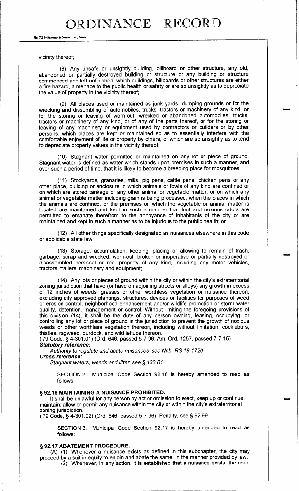No. 72 8-Redfield & Company Inc., Omaha

vicinity thereof;

8) Any unsafe or unsightly building, billboard or other structure, any old, abandoned or partially destroyed building or structure or any building or structure commenced and left unfinished, which buildings, billboards or other structures are either a fire hazard, a menace to the public health or safety or are so unsightly as to depreciate the value of property in the vicinity thereof;

9) All places used or maintained as junk yards, dumping grounds or for the wrecking and dissembling of automobiles, trucks, tractors or machinery of any kind, or for the storing or leaving of worn-out, wrecked or abandoned automobiles, trucks, tractors or machinery of any kind, or of any of the parts thereof, or for the storing or leaving of any machinery or equipment used by contractors or builders or by other persons, which places are kept or maintained so as to essentially interfere with the comfortable enjoyment of life or property by others, or which are so unsightly as to tend to depreciate property values in the vicinity thereof;

10) Stagnant water permitted or maintained on any lot or piece of ground. Stagnant water is defined as water which stands upon premises in such a manner, and over such a period of time, that it is likely to become a breeding place for mosquitoes;

11) Stockyards, granaries, mills, pig pens, cattle pens, chicken pens or any other place, building or enclosure in which animals or fowls of any kind are confined or on which are stored tankage or any other animal or vegetable matter, or on which any animal or vegetable matter including grain is being processed, when the places in which the animals are confined, or the premises on which the vegetable or animal matter is located are maintained and kept in such a manner that foul and noxious odors are permitted to emanate therefrom to the annoyance of inhabitants of the city or are maintained and kept in such a manner as to be injurious to the public health; or

12) All other things specifically designated as nuisances elsewhere in this code or applicable state law.

13) Storage, accumulation, keeping, placing or allowing to remain of trash, garbage, scrap and wrecked, worn-out, broken or inoperative or partially destroyed or disassembled personal or real property of any kind, including any motor vehicles, tractors, trailers, machinery and equipment;

14) Any lots or pieces of ground within the city or within the city' s extraterritorial zoning jurisdiction that have (or have on adjoining streets or alleys) any growth in excess of 12 inches of weeds, grasses or other worthless vegetation or nuisance thereon, excluding city approved plantings, structures, devices or facilities for purposes of weed or erosion control, neighborhood enhancement and/or wildlife promotion or storm water quality, detention, management or control. Without limiting the foregoing provisions of this division ( 14), it shall be the duty of any person owning, leasing, occupying, or controlling any lot or piece of ground in the jurisdiction to prevent the growth of noxious weeds or other worthless vegetation thereon, including without limitation, cockleburs, thistles, ragweed, burdock, and wild lettuce thereon.

79 Code, § 4- 301. 01) ( Ord. 646, passed 5- 7- 96; Am. Ord. 1257, passed 7- 7- 15) Statutory reference:

Authority to regulate and abate nuisances, see Neb. RS 18-1720 Cross reference:

Stagnant waters, weeds and litter, see § 133. 01

SECTION 2. Municipal Code Section 92. 16 is hereby amended to read as follows:

## § 92.16 MAINTAINING A NUISANCE PROHIBITED.

It shall be unlawful for any person by act or omission to erect, keep up or continue, maintain, allow or permit any nuisance within the city or within the city's extraterritorial zoning jurisdiction.

79 Code, § 4- 301. 02) ( Ord. 646, passed 5- 7- 96) Penalty, see § 92. 99

SECTION 3. Municipal Code Section 92. 17 is hereby amended to read as follows:

## § 92.17 ABATEMENT PROCEDURE.

A) ( 1) Whenever a nuisance exists as defined in this subchapter, the city may proceed by a suit in equity to enjoin and abate the same, in the manner provided by law.

2) Whenever, in any action, it is established that <sup>a</sup> nuisance exists, the court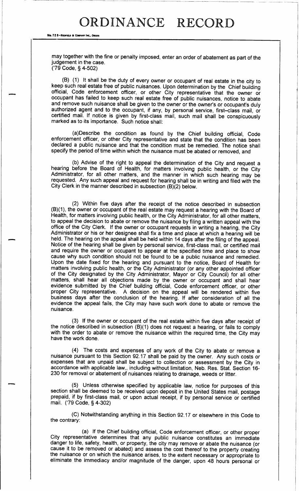## ORDINANCE RECORD

No. 72 8-REDFIELD & COMPANY INC.. ON

may together with the fine or penalty imposed, enter an order of abatement as part of the judgement in the case. 79 Code, § 4- 502)

B) ( 1) It shall be the duty of every owner or occupant of real estate in the city to keep such real estate free of public nuisances. Upon determination by the Chief building official, Code enforcement officer, or other City representative that the owner or occupant has failed to keep such real estate free of public nuisances, notice to abate and remove such nuisance shall be given to the owner or the owner's or occupant's duly authorized agent and to the occupant, if any, by personal service, first—class mail, or certified mail. If notice is given by first- class mail, such mail shall be conspicuously marked as to its importance. Such notice shall:

a) Describe the condition as found by the Chief building official, Code enforcement officer, or other City representative and state that the condition has been declared a public nuisance and that the condition must be remedied. The notice shall specify the period of time within which the nuisance must be abated or removed, and

b) Advise of the right to appeal the determination of the City and request a hearing before the Board of Health, for matters involving public health, or the City Administrator, for all other matters, and the manner in which such hearing may be requested. Any such appeal and request for hearing shall be in writing and filed with the City Clerk in the manner described in subsection  $(B)(2)$  below.

2) Within five days after the receipt of the notice described in subsection B)( 1), the owner or occupant of the real estate may request <sup>a</sup> hearing with the Board of Health, for matters involving public health, or the City Administrator, for all other matters, to appeal the decision to abate or remove the nuisance by filing a written appeal with the office of the City Clerk. If the owner or occupant requests in writing <sup>a</sup> hearing, the City Administrator or his or her designee shall fix a time and place at which a hearing will be held. The hearing on the appeal shall be held within 14 days after the filing of the appeal. Notice of the hearing shall be given by personal service, first- class mail, or certified mail and require the owner or occupant to appear at the specified time and place to show cause why such condition should not be found to be a public nuisance and remedied. Upon the date fixed for the hearing and pursuant to the notice, Board of Health for matters involving public health, or the City Administrator (or any other appointed officer of the City designated by the City Administrator, Mayor or City Council) for all other matters, shall hear all objections made by the owner or occupant and shall hear evidence submitted by the Chief building official, Code enforcement officer, or other proper City representative. A decision on the appeal will be rendered within five business days after the conclusion of the hearing. If after consideration of all the evidence the appeal fails, the City may have such work done to abate or remove the nuisance.

3) If the owner or occupant of the real estate within five days after receipt of the notice described in subsection (B)(1) does not request a hearing, or fails to comply with the order to abate or remove the nuisance within the required time, the City may have the work done.

4) The costs and expenses of any work of the City to abate or remove <sup>a</sup> nuisance pursuant to this Section 92. <sup>17</sup> shall be paid by the owner. Any such costs or expenses that are unpaid shall be subject to collection or assessment by the City in accordance with applicable law,, including without limitation, Neb. Res. Stat. Section 16-230 for removal or abatement of nuisances relating to drainage, weeds or litter.

5) Unless otherwise specified by applicable law, notice for purposes of this section shall be deemed to be received upon deposit in the United States mail, postage prepaid, if by first-class mail, or upon actual receipt, if by personal service or certified mail. ('79 Code, § 4-302)

C) Notwithstanding anything in this Section 92. 17 or elsewhere in this Code to the contrary:

a) If the Chief building official, Code enforcement officer, or other proper City representative determines that any public nuisance constitutes an immediate danger to life, safety, health, or property, the city may remove or abate the nuisance ( or cause it to be removed or abated) and assess the cost thereof to the property creating the nuisance or on which the nuisance arises, to the extent necessary or appropriate to eliminate the immediacy and/or magnitude of the danger, upon 48 hours personal or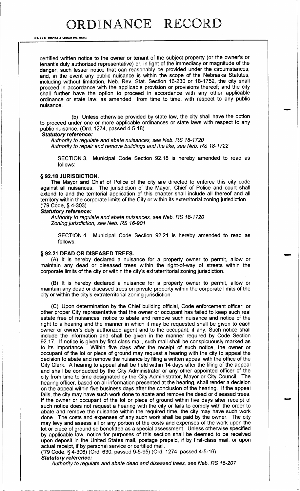No. 72 8-REDFIELD & COMPANY INC., OWAH

certified written notice to the owner or tenant of the subject property ( or the owner's or tenant's duly authorized representative) or, in light of the immediacy or magnitude of the danger, such lesser notice that can reasonably be provided under the circumstances; and, in the event any public nuisance is within the scope of the Nebraska Statutes, including without limitation, Neb. Rev. Stat. Section 16-230 or 18- 1752, the city shall proceed in accordance with the applicable provision or provisions thereof; and the city shall further have the option to proceed in accordance with any other applicable ordinance or state law, as amended from time to time, with respect to any public nuisance.

b) Unless otherwise provided by state law, the city shall have the option to proceed under one or more applicable ordinances or state laws with respect to any public nuisance. (Ord. 1274, passed 4-5-18)

#### Statutory reference:

Authority to regulate and abate nuisances, see Neb. RS 18-1720 Authority to repair and remove buildings and the like, see Neb. RS 18-1722

SECTION 3. Municipal Code Section 92. 18 is hereby amended to read as follows:

NANO

## § 92.18 JURISDICTION.

The Mayor and Chief of Police of the city are directed to enforce this city code against all nuisances. The jurisdiction of the Mayor, Chief of Police and court shall extend to and the territorial application of this chapter shall include all thereof and all territory within the corporate limits of the City or within its exterritorial zoning jurisdiction. 79 Code, § 4- 303)

#### Statutory reference:

Authority to regulate and abate nuisances, see Neb. RS 18-1720 Zoning jurisdiction, see Neb. RS 16-901

SECTION 4. Municipal Code Section 92.21 is hereby amended to read as follows:

#### § 92.21 DEAD OR DISEASED TREES.

A) It is hereby declared <sup>a</sup> nuisance for a property owner to permit, allow or maintain any dead or diseased trees within the right-of-way of streets within the corporate limits of the city or within the city's extraterritorial zoning jurisdiction.

B) It is hereby declared a nuisance for a property owner to permit, allow or maintain any dead or diseased trees on private property within the corporate limits of the city or within the city's extraterritorial zoning jurisdiction.

C) Upon determination by the Chief building official, Code enforcement officer, or other proper City representative that the owner or occupant has failed to keep such real estate free of nuisances, notice to abate and remove such nuisance and notice of the right to a hearing and the manner in which it may be requested shall be given to each owner or owner's duly authorized agent and to the occupant, if any. Such notice shall include the information and shall be given in the manner required by Code Section 92.17. If notice is given by first-class mail, such mail shall be conspicuously marked as to its importance. Within five days after the receipt of such notice, the owner or occupant of the lot or piece of ground may request a hearing with the city to appeal the decision to abate and remove the nuisance by filing a written appeal with the office of the City Clerk. A hearing to appeal shall be held within 14 days after the filing of the appeal and shall be conducted by the City Administrator or any other appointed officer of the city from time to time designated by the City Administrator, Mayor or City Council. The hearing officer, based on all information presented at the hearing, shall render a decision on the appeal within five business days after the conclusion of the hearing. If the appeal fails, the city may have such work done to abate and remove the dead or diseased trees. If the owner or occupant of the lot or piece of ground within five days after receipt of such notice does not request a hearing with the city or fails to comply with the order to abate and remove the nuisance within the required time, the city may have such work done. The costs and expenses of any such work shall be paid by the owner. The city may levy and assess all or any portion of the costs and expenses of the work upon the lot or piece of ground so benefitted as a special assessment. Unless otherwise specified by applicable law, notice for purposes of this section shall be deemed to be received upon deposit in the United States mail, postage prepaid, if by first- class mail, or upon actual receipt, if by personal service or certified mail.

79 Code, § 4- 306) ( Ord. 630, passed 9- 5- 95) ( Ord. 1274, passed 4- 5- 16) Statutory reference:

Authority to regulate and abate dead and diseased trees, see Neb. RS 16-207